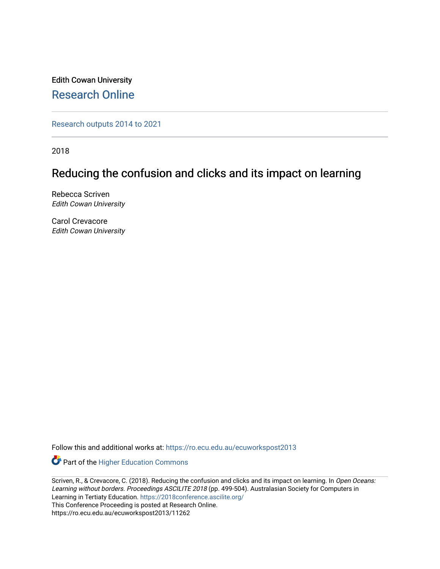Edith Cowan University [Research Online](https://ro.ecu.edu.au/) 

[Research outputs 2014 to 2021](https://ro.ecu.edu.au/ecuworkspost2013) 

2018

# Reducing the confusion and clicks and its impact on learning

Rebecca Scriven Edith Cowan University

Carol Crevacore Edith Cowan University

Follow this and additional works at: [https://ro.ecu.edu.au/ecuworkspost2013](https://ro.ecu.edu.au/ecuworkspost2013?utm_source=ro.ecu.edu.au%2Fecuworkspost2013%2F11262&utm_medium=PDF&utm_campaign=PDFCoverPages) 

Part of the [Higher Education Commons](http://network.bepress.com/hgg/discipline/1245?utm_source=ro.ecu.edu.au%2Fecuworkspost2013%2F11262&utm_medium=PDF&utm_campaign=PDFCoverPages) 

Scriven, R., & Crevacore, C. (2018). Reducing the confusion and clicks and its impact on learning. In Open Oceans: Learning without borders. Proceedings ASCILITE 2018 (pp. 499-504). Australasian Society for Computers in Learning in Tertiaty Education.<https://2018conference.ascilite.org/> This Conference Proceeding is posted at Research Online. https://ro.ecu.edu.au/ecuworkspost2013/11262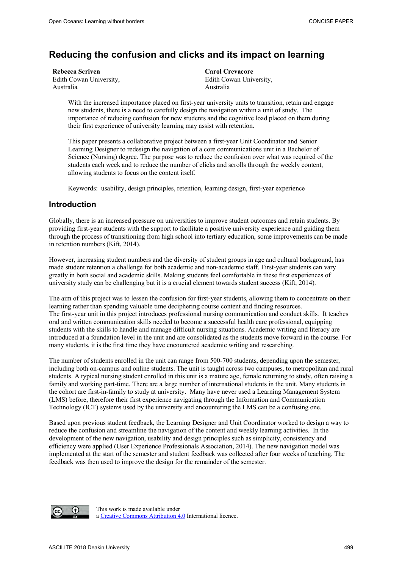## **Reducing the confusion and clicks and its impact on learning**

| Rebecca Scriven         |  |
|-------------------------|--|
| Edith Cowan University, |  |
| Australia               |  |

**Carol Crevacore**  Edith Cowan University, Australia

With the increased importance placed on first-year university units to transition, retain and engage new students, there is a need to carefully design the navigation within a unit of study. The importance of reducing confusion for new students and the cognitive load placed on them during their first experience of university learning may assist with retention.

This paper presents a collaborative project between a first-year Unit Coordinator and Senior Learning Designer to redesign the navigation of a core communications unit in a Bachelor of Science (Nursing) degree. The purpose was to reduce the confusion over what was required of the students each week and to reduce the number of clicks and scrolls through the weekly content, allowing students to focus on the content itself.

Keywords: usability, design principles, retention, learning design, first-year experience

## **Introduction**

Globally, there is an increased pressure on universities to improve student outcomes and retain students. By providing first-year students with the support to facilitate a positive university experience and guiding them through the process of transitioning from high school into tertiary education, some improvements can be made in retention numbers (Kift, 2014).

However, increasing student numbers and the diversity of student groups in age and cultural background, has made student retention a challenge for both academic and non-academic staff. First-year students can vary greatly in both social and academic skills. Making students feel comfortable in these first experiences of university study can be challenging but it is a crucial element towards student success (Kift, 2014).

The aim of this project was to lessen the confusion for first-year students, allowing them to concentrate on their learning rather than spending valuable time deciphering course content and finding resources. The first-year unit in this project introduces professional nursing communication and conduct skills. It teaches oral and written communication skills needed to become a successful health care professional, equipping students with the skills to handle and manage difficult nursing situations. Academic writing and literacy are introduced at a foundation level in the unit and are consolidated as the students move forward in the course. For many students, it is the first time they have encountered academic writing and researching.

The number of students enrolled in the unit can range from 500-700 students, depending upon the semester, including both on-campus and online students. The unit is taught across two campuses, to metropolitan and rural students. A typical nursing student enrolled in this unit is a mature age, female returning to study, often raising a family and working part-time. There are a large number of international students in the unit. Many students in the cohort are first-in-family to study at university. Many have never used a Learning Management System (LMS) before, therefore their first experience navigating through the Information and Communication Technology (ICT) systems used by the university and encountering the LMS can be a confusing one.

Based upon previous student feedback, the Learning Designer and Unit Coordinator worked to design a way to reduce the confusion and streamline the navigation of the content and weekly learning activities. In the development of the new navigation, usability and design principles such as simplicity, consistency and efficiency were applied (User Experience Professionals Association, 2014). The new navigation model was implemented at the start of the semester and student feedback was collected after four weeks of teaching. The feedback was then used to improve the design for the remainder of the semester.



This work is made available under a Creative Commons Attribution 4.0 International licence.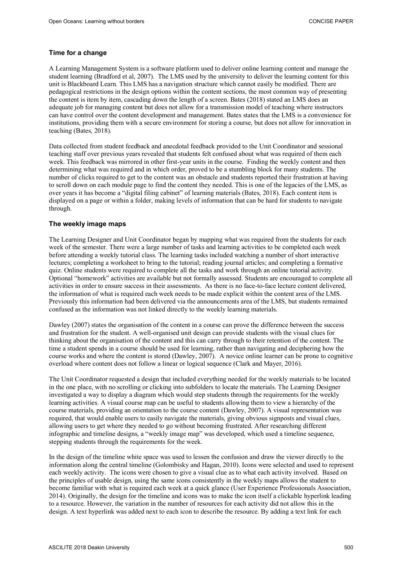#### **Time for a change**

A Learning Management System is a software platform used to deliver online learning content and manage the student learning (Bradford et al, 2007). The LMS used by the university to deliver the learning content for this unit is Blackboard Learn. This LMS has a navigation structure which cannot easily be modified. There are pedagogical restrictions in the design options within the content sections, the most common way of presenting the content is item by item, cascading down the length of a screen. Bates (2018) stated an LMS does an adequate job for managing content but does not allow for a transmission model of teaching where instructors can have control over the content development and management. Bates states that the LMS is a convenience for institutions, providing them with a secure environment for storing a course, but does not allow for innovation in teaching (Bates, 2018).

Data collected from student feedback and anecdotal feedback provided to the Unit Coordinator and sessional teaching staff over previous years revealed that students felt confused about what was required of them each week. This feedback was mirrored in other first-year units in the course. Finding the weekly content and then determining what was required and in which order, proved to be a stumbling block for many students. The number of clicks required to get to the content was an obstacle and students reported their frustration at having to scroll down on each module page to find the content they needed. This is one of the legacies of the LMS, as over years it has become a "digital filing cabinet" of learning materials (Bates, 2018). Each content item is displayed on a page or within a folder, making levels of information that can be hard for students to navigate through.

#### **The weekly image maps**

The Learning Designer and Unit Coordinator began by mapping what was required from the students for each week of the semester. There were a large number of tasks and learning activities to be completed each week before attending a weekly tutorial class. The learning tasks included watching a number of short interactive lectures; completing a worksheet to bring to the tutorial; reading journal articles; and completing a formative quiz. Online students were required to complete all the tasks and work through an online tutorial activity. Optional "homework" activities are available but not formally assessed. Students are encouraged to complete all activities in order to ensure success in their assessments. As there is no face-to-face lecture content delivered, the information of what is required each week needs to be made explicit within the content area of the LMS. Previously this information had been delivered via the announcements area of the LMS, but students remained confused as the information was not linked directly to the weekly learning materials.

Dawley (2007) states the organisation of the content in a course can prove the difference between the success and frustration for the student. A well-organised unit design can provide students with the visual clues for thinking about the organisation of the content and this can carry through to their retention of the content. The time a student spends in a course should be used for learning, rather than navigating and deciphering how the course works and where the content is stored (Dawley, 2007). A novice online learner can be prone to cognitive overload where content does not follow a linear or logical sequence (Clark and Mayer, 2016).

The Unit Coordinator requested a design that included everything needed for the weekly materials to be located in the one place, with no scrolling or clicking into subfolders to locate the materials. The Learning Designer investigated a way to display a diagram which would step students through the requirements for the weekly learning activities. A visual course map can be useful to students allowing them to view a hierarchy of the course materials, providing an orientation to the course content (Dawley, 2007). A visual representation was required, that would enable users to easily navigate the materials, giving obvious signposts and visual clues, allowing users to get where they needed to go without becoming frustrated. After researching different infographic and timeline designs, a "weekly image map" was developed, which used a timeline sequence, stepping students through the requirements for the week.

In the design of the timeline white space was used to lessen the confusion and draw the viewer directly to the information along the central timeline (Golombisky and Hagan, 2010). Icons were selected and used to represent each weekly activity. The icons were chosen to give a visual clue as to what each activity involved. Based on the principles of usable design, using the same icons consistently in the weekly maps allows the student to become familiar with what is required each week at a quick glance (User Experience Professionals Association, 2014). Originally, the design for the timeline and icons was to make the icon itself a clickable hyperlink leading to a resource. However, the variation in the number of resources for each activity did not allow this in the design. A text hyperlink was added next to each icon to describe the resource. By adding a text link for each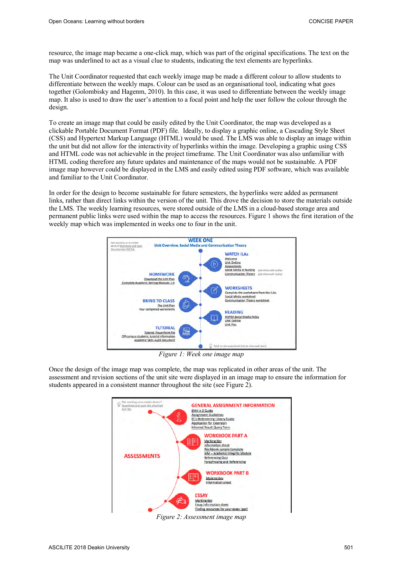resource, the image map became a one-click map, which was part of the original specifications. The text on the map was underlined to act as a visual clue to students, indicating the text elements are hyperlinks.

The Unit Coordinator requested that each weekly image map be made a different colour to allow students to differentiate between the weekly maps. Colour can be used as an organisational tool, indicating what goes together (Golombisky and Hagenm, 2010). In this case, it was used to differentiate between the weekly image map. It also is used to draw the user's attention to a focal point and help the user follow the colour through the design.

To create an image map that could be easily edited by the Unit Coordinator, the map was developed as a clickable Portable Document Format (PDF) file. Ideally, to display a graphic online, a Cascading Style Sheet (CSS) and Hypertext Markup Language (HTML) would be used. The LMS was able to display an image within the unit but did not allow for the interactivity of hyperlinks within the image. Developing a graphic using CSS and HTML code was not achievable in the project timeframe. The Unit Coordinator was also unfamiliar with HTML coding therefore any future updates and maintenance of the maps would not be sustainable. A PDF image map however could be displayed in the LMS and easily edited using PDF software, which was available and familiar to the Unit Coordinator.

In order for the design to become sustainable for future semesters, the hyperlinks were added as permanent links, rather than direct links within the version of the unit. This drove the decision to store the materials outside the LMS. The weekly learning resources, were stored outside of the LMS in a cloud-based storage area and permanent public links were used within the map to access the resources. Figure 1 shows the first iteration of the weekly map which was implemented in weeks one to four in the unit.



*Figure 1: Week one image map* 

Once the design of the image map was complete, the map was replicated in other areas of the unit. The assessment and revision sections of the unit site were displayed in an image map to ensure the information for students appeared in a consistent manner throughout the site (see Figure 2).



*Figure 2: Assessment image map*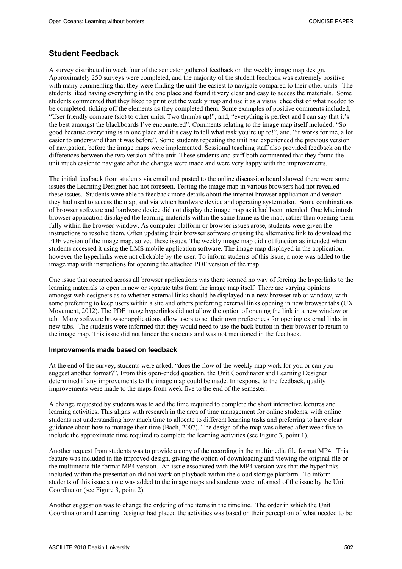### **Student Feedback**

A survey distributed in week four of the semester gathered feedback on the weekly image map design. Approximately 250 surveys were completed, and the majority of the student feedback was extremely positive with many commenting that they were finding the unit the easiest to navigate compared to their other units. The students liked having everything in the one place and found it very clear and easy to access the materials. Some students commented that they liked to print out the weekly map and use it as a visual checklist of what needed to be completed, ticking off the elements as they completed them. Some examples of positive comments included, "User friendly compare (sic) to other units. Two thumbs up!", and, "everything is perfect and I can say that it's the best amongst the blackboards I've encountered". Comments relating to the image map itself included, "So good because everything is in one place and it's easy to tell what task you're up to!", and, "it works for me, a lot easier to understand than it was before". Some students repeating the unit had experienced the previous version of navigation, before the image maps were implemented. Sessional teaching staff also provided feedback on the differences between the two version of the unit. These students and staff both commented that they found the unit much easier to navigate after the changes were made and were very happy with the improvements.

The initial feedback from students via email and posted to the online discussion board showed there were some issues the Learning Designer had not foreseen. Testing the image map in various browsers had not revealed these issues. Students were able to feedback more details about the internet browser application and version they had used to access the map, and via which hardware device and operating system also. Some combinations of browser software and hardware device did not display the image map as it had been intended. One Macintosh browser application displayed the learning materials within the same frame as the map, rather than opening them fully within the browser window. As computer platform or browser issues arose, students were given the instructions to resolve them. Often updating their browser software or using the alternative link to download the PDF version of the image map, solved these issues. The weekly image map did not function as intended when students accessed it using the LMS mobile application software. The image map displayed in the application, however the hyperlinks were not clickable by the user. To inform students of this issue, a note was added to the image map with instructions for opening the attached PDF version of the map.

One issue that occurred across all browser applications was there seemed no way of forcing the hyperlinks to the learning materials to open in new or separate tabs from the image map itself. There are varying opinions amongst web designers as to whether external links should be displayed in a new browser tab or window, with some preferring to keep users within a site and others preferring external links opening in new browser tabs (UX Movement, 2012). The PDF image hyperlinks did not allow the option of opening the link in a new window or tab. Many software browser applications allow users to set their own preferences for opening external links in new tabs. The students were informed that they would need to use the back button in their browser to return to the image map. This issue did not hinder the students and was not mentioned in the feedback.

#### **Improvements made based on feedback**

At the end of the survey, students were asked, "does the flow of the weekly map work for you or can you suggest another format?". From this open-ended question, the Unit Coordinator and Learning Designer determined if any improvements to the image map could be made. In response to the feedback, quality improvements were made to the maps from week five to the end of the semester.

A change requested by students was to add the time required to complete the short interactive lectures and learning activities. This aligns with research in the area of time management for online students, with online students not understanding how much time to allocate to different learning tasks and preferring to have clear guidance about how to manage their time (Bach, 2007). The design of the map was altered after week five to include the approximate time required to complete the learning activities (see Figure 3, point 1).

Another request from students was to provide a copy of the recording in the multimedia file format MP4. This feature was included in the improved design, giving the option of downloading and viewing the original file or the multimedia file format MP4 version. An issue associated with the MP4 version was that the hyperlinks included within the presentation did not work on playback within the cloud storage platform. To inform students of this issue a note was added to the image maps and students were informed of the issue by the Unit Coordinator (see Figure 3, point 2).

Another suggestion was to change the ordering of the items in the timeline. The order in which the Unit Coordinator and Learning Designer had placed the activities was based on their perception of what needed to be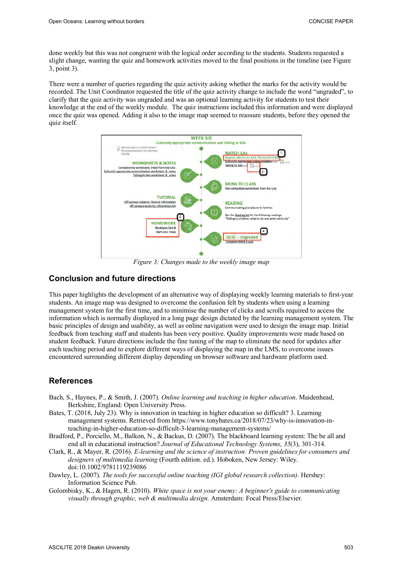done weekly but this was not congruent with the logical order according to the students. Students requested a slight change, wanting the quiz and homework activities moved to the final positions in the timeline (see Figure 3, point 3).

There were a number of queries regarding the quiz activity asking whether the marks for the activity would be recorded. The Unit Coordinator requested the title of the quiz activity change to include the word "ungraded", to clarify that the quiz activity was ungraded and was an optional learning activity for students to test their knowledge at the end of the weekly module. The quiz instructions included this information and were displayed once the quiz was opened. Adding it also to the image map seemed to reassure students, before they opened the quiz itself.



*Figure 3: Changes made to the weekly image map* 

## **Conclusion and future directions**

This paper highlights the development of an alternative way of displaying weekly learning materials to first-year students. An image map was designed to overcome the confusion felt by students when using a learning management system for the first time, and to minimise the number of clicks and scrolls required to access the information which is normally displayed in a long page design dictated by the learning management system. The basic principles of design and usability, as well as online navigation were used to design the image map. Initial feedback from teaching staff and students has been very positive. Quality improvements were made based on student feedback. Future directions include the fine tuning of the map to eliminate the need for updates after each teaching period and to explore different ways of displaying the map in the LMS, to overcome issues encountered surrounding different display depending on browser software and hardware platform used.

## **References**

- Bach, S., Haynes, P., & Smith, J. (2007). *Online learning and teaching in higher education*. Maidenhead, Berkshire, England: Open University Press.
- Bates, T. (2018, July 23). Why is innovation in teaching in higher education so difficult? 3. Learning management systems. Retrieved from https://www.tonybates.ca/2018/07/23/why-is-innovation-inteaching-in-higher-education-so-difficult-3-learning-management-systems/
- Bradford, P., Porciello, M., Balkon, N., & Backus, D. (2007). The blackboard learning system: The be all and end all in educational instruction? *Journal of Educational Technology Systems*, *35*(3), 301-314.
- Clark, R., & Mayer, R. (2016). *E-learning and the science of instruction: Proven guidelines for consumers and designers of multimedia learning* (Fourth edition. ed.). Hoboken, New Jersey: Wiley. doi:10.1002/9781119239086
- Dawley, L. (2007). *The tools for successful online teaching (IGI global research collection)*. Hershey: Information Science Pub.
- Golombisky, K., & Hagen, R. (2010). *White space is not your enemy: A beginner's guide to communicating visually through graphic, web & multimedia design*. Amsterdam: Focal Press/Elsevier.